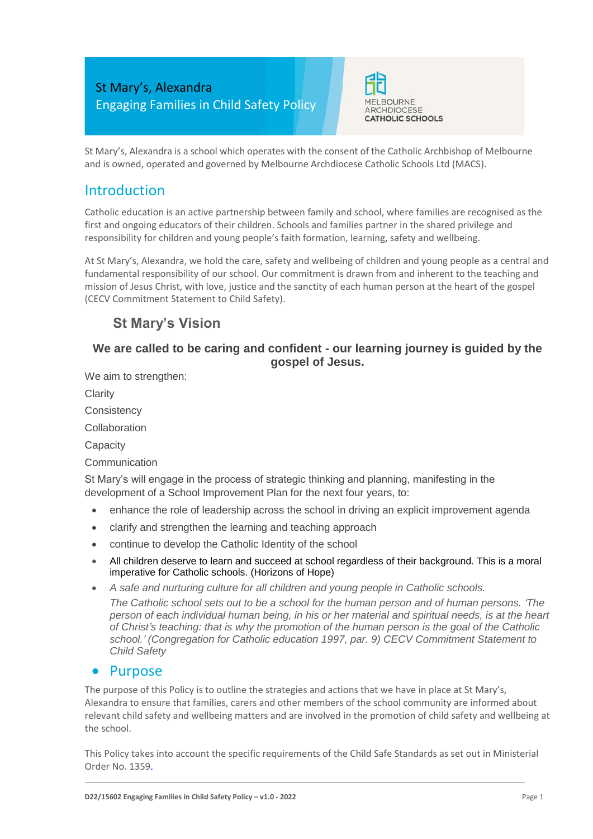

St Mary's, Alexandra is a school which operates with the consent of the Catholic Archbishop of Melbourne and is owned, operated and governed by Melbourne Archdiocese Catholic Schools Ltd (MACS).

## Introduction

Catholic education is an active partnership between family and school, where families are recognised as the first and ongoing educators of their children. Schools and families partner in the shared privilege and responsibility for children and young people's faith formation, learning, safety and wellbeing.

At St Mary's, Alexandra, we hold the care, safety and wellbeing of children and young people as a central and fundamental responsibility of our school. Our commitment is drawn from and inherent to the teaching and mission of Jesus Christ, with love, justice and the sanctity of each human person at the heart of the gospel (CECV Commitment Statement to Child Safety).

# **St Mary's Vision**

### **We are called to be caring and confident - our learning journey is guided by the gospel of Jesus.**

We aim to strengthen:

**Clarity** 

**Consistency** 

Collaboration

**Capacity** 

**Communication** 

St Mary's will engage in the process of strategic thinking and planning, manifesting in the development of a School Improvement Plan for the next four years, to:

- enhance the role of leadership across the school in driving an explicit improvement agenda
- clarify and strengthen the learning and teaching approach
- continue to develop the Catholic Identity of the school
- All children deserve to learn and succeed at school regardless of their background. This is a moral imperative for Catholic schools. (Horizons of Hope)
- *A safe and nurturing culture for all children and young people in Catholic schools.*

*The Catholic school sets out to be a school for the human person and of human persons. 'The person of each individual human being, in his or her material and spiritual needs, is at the heart of Christ's teaching: that is why the promotion of the human person is the goal of the Catholic school.' (Congregation for Catholic education 1997, par. 9) CECV Commitment Statement to Child Safety*

#### • Purpose

The purpose of this Policy is to outline the strategies and actions that we have in place at St Mary's, Alexandra to ensure that families, carers and other members of the school community are informed about relevant child safety and wellbeing matters and are involved in the promotion of child safety and wellbeing at the school.

This Policy takes into account the specific requirements of the Child Safe Standards as set out in Ministerial Order No. 1359.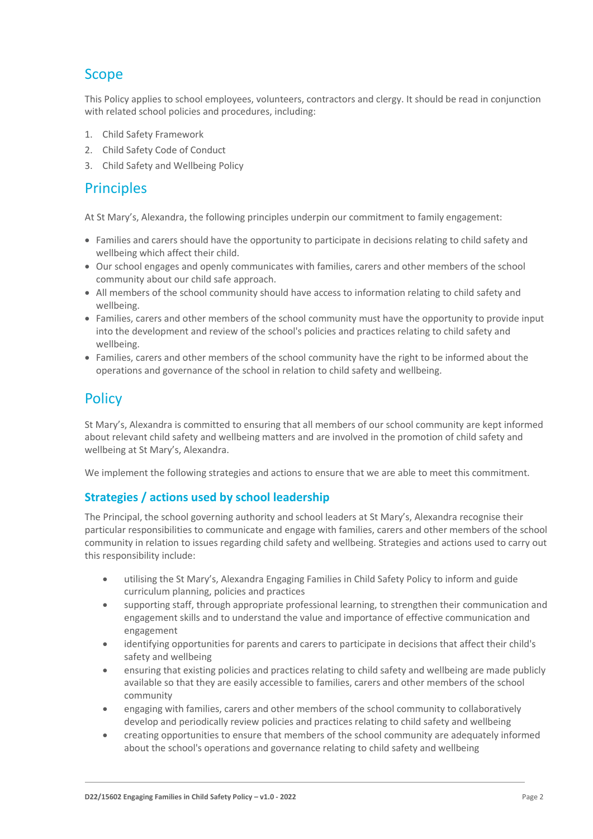# Scope

This Policy applies to school employees, volunteers, contractors and clergy. It should be read in conjunction with related school policies and procedures, including:

- 1. Child Safety Framework
- 2. Child Safety Code of Conduct
- 3. Child Safety and Wellbeing Policy

## **Principles**

At St Mary's, Alexandra, the following principles underpin our commitment to family engagement:

- Families and carers should have the opportunity to participate in decisions relating to child safety and wellbeing which affect their child.
- Our school engages and openly communicates with families, carers and other members of the school community about our child safe approach.
- All members of the school community should have access to information relating to child safety and wellbeing.
- Families, carers and other members of the school community must have the opportunity to provide input into the development and review of the school's policies and practices relating to child safety and wellbeing.
- Families, carers and other members of the school community have the right to be informed about the operations and governance of the school in relation to child safety and wellbeing.

# **Policy**

St Mary's, Alexandra is committed to ensuring that all members of our school community are kept informed about relevant child safety and wellbeing matters and are involved in the promotion of child safety and wellbeing at St Mary's, Alexandra.

We implement the following strategies and actions to ensure that we are able to meet this commitment.

### **Strategies / actions used by school leadership**

The Principal, the school governing authority and school leaders at St Mary's, Alexandra recognise their particular responsibilities to communicate and engage with families, carers and other members of the school community in relation to issues regarding child safety and wellbeing. Strategies and actions used to carry out this responsibility include:

- utilising the St Mary's, Alexandra Engaging Families in Child Safety Policy to inform and guide curriculum planning, policies and practices
- supporting staff, through appropriate professional learning, to strengthen their communication and engagement skills and to understand the value and importance of effective communication and engagement
- identifying opportunities for parents and carers to participate in decisions that affect their child's safety and wellbeing
- ensuring that existing policies and practices relating to child safety and wellbeing are made publicly available so that they are easily accessible to families, carers and other members of the school community
- engaging with families, carers and other members of the school community to collaboratively develop and periodically review policies and practices relating to child safety and wellbeing
- creating opportunities to ensure that members of the school community are adequately informed about the school's operations and governance relating to child safety and wellbeing